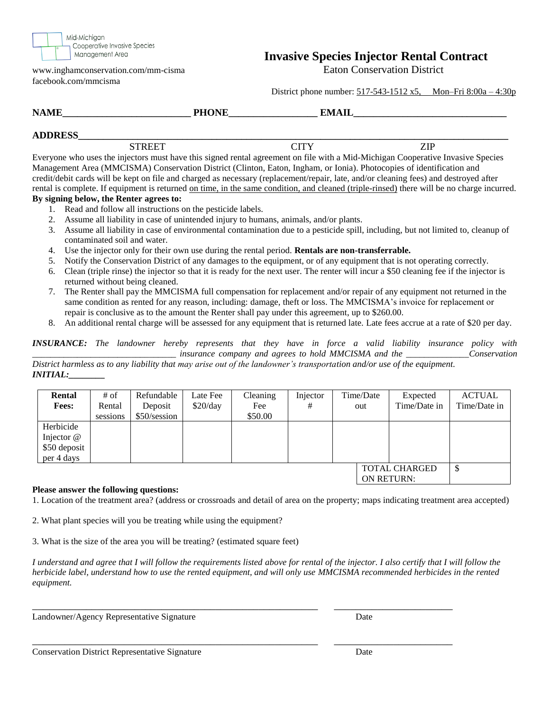

www.inghamconservation.com/mm-cisma Eaton Conservation District facebook.com/mmcisma

# **Invasive Species Injector Rental Contract**

District phone number: 517-543-1512 x5, Mon–Fri 8:00a – 4:30p

| <b>NAME</b>    | <b>DUANE</b><br>***** | <b>EMAII</b> |
|----------------|-----------------------|--------------|
| <b>ADDRESS</b> |                       |              |
|                |                       |              |

STREET CITY CITY ZIP Everyone who uses the injectors must have this signed rental agreement on file with a Mid-Michigan Cooperative Invasive Species Management Area (MMCISMA) Conservation District (Clinton, Eaton, Ingham, or Ionia). Photocopies of identification and credit/debit cards will be kept on file and charged as necessary (replacement/repair, late, and/or cleaning fees) and destroyed after rental is complete. If equipment is returned on time, in the same condition, and cleaned (triple-rinsed) there will be no charge incurred.

#### **By signing below, the Renter agrees to:**

- 1. Read and follow all instructions on the pesticide labels.
- 2. Assume all liability in case of unintended injury to humans, animals, and/or plants.
- 3. Assume all liability in case of environmental contamination due to a pesticide spill, including, but not limited to, cleanup of contaminated soil and water.
- 4. Use the injector only for their own use during the rental period. **Rentals are non-transferrable.**
- 5. Notify the Conservation District of any damages to the equipment, or of any equipment that is not operating correctly.
- 6. Clean (triple rinse) the injector so that it is ready for the next user. The renter will incur a \$50 cleaning fee if the injector is returned without being cleaned.
- 7. The Renter shall pay the MMCISMA full compensation for replacement and/or repair of any equipment not returned in the same condition as rented for any reason, including: damage, theft or loss. The MMCISMA's invoice for replacement or repair is conclusive as to the amount the Renter shall pay under this agreement, up to \$260.00.
- 8. An additional rental charge will be assessed for any equipment that is returned late. Late fees accrue at a rate of \$20 per day.

*INSURANCE: The landowner hereby represents that they have in force a valid liability insurance policy with \_\_\_\_\_\_\_\_\_\_\_\_\_\_\_\_\_\_\_\_\_\_\_\_\_\_\_\_\_\_\_\_ insurance company and agrees to hold MMCISMA and the \_\_\_\_\_\_\_\_\_\_\_\_\_\_Conservation* 

*District harmless as to any liability that may arise out of the landowner's transportation and/or use of the equipment. INITIAL:\_\_\_\_\_\_\_\_*

| Rental               | # of     | Refundable   | Late Fee | Cleaning | Injector |  | Time/Date         | Expected     | <b>ACTUAL</b> |
|----------------------|----------|--------------|----------|----------|----------|--|-------------------|--------------|---------------|
| <b>Fees:</b>         | Rental   | Deposit      | \$20/day | Fee      | #        |  | out               | Time/Date in | Time/Date in  |
|                      | sessions | \$50/session |          | \$50.00  |          |  |                   |              |               |
| Herbicide            |          |              |          |          |          |  |                   |              |               |
| Injector $@$         |          |              |          |          |          |  |                   |              |               |
| \$50 deposit         |          |              |          |          |          |  |                   |              |               |
| per 4 days           |          |              |          |          |          |  |                   |              |               |
| <b>TOTAL CHARGED</b> |          |              |          |          |          |  |                   |              |               |
|                      |          |              |          |          |          |  | <b>ON RETURN:</b> |              |               |

#### **Please answer the following questions:**

1. Location of the treatment area? (address or crossroads and detail of area on the property; maps indicating treatment area accepted)

2. What plant species will you be treating while using the equipment?

3. What is the size of the area you will be treating? (estimated square feet)

*I understand and agree that I will follow the requirements listed above for rental of the injector. I also certify that I will follow the herbicide label, understand how to use the rented equipment, and will only use MMCISMA recommended herbicides in the rented equipment.*

\_\_\_\_\_\_\_\_\_\_\_\_\_\_\_\_\_\_\_\_\_\_\_\_\_\_\_\_\_\_\_\_\_\_\_\_\_\_\_\_\_\_\_\_\_\_\_\_\_\_\_\_\_ \_\_\_\_\_\_\_\_\_\_\_\_\_\_\_\_\_\_\_\_\_\_

\_\_\_\_\_\_\_\_\_\_\_\_\_\_\_\_\_\_\_\_\_\_\_\_\_\_\_\_\_\_\_\_\_\_\_\_\_\_\_\_\_\_\_\_\_\_\_\_\_\_\_\_\_ \_\_\_\_\_\_\_\_\_\_\_\_\_\_\_\_\_\_\_\_\_\_

Landowner/Agency Representative Signature Date